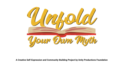

**A Creative Self-Expression and Community-Building Project by Unity Productions Foundation**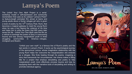### Lamya's Poem

The *Unfold Your Own Myth* Project is a serial workshop model in self-expression and community reorientation that uses as its catalyst "Lamya's Poem" (a feature-length animated film aimed at teens and young adults about a Syrian refugee girl who is given a book of poetry by the  $13<sup>th</sup>$  Century Poet, Rumi, that becomes a magical gateway to meet the young Rumi when he was a boy fleeing the violence of his time and helps him to write the poem that 800 years later saves her life. *Unfold Your Own Myth* uses the film as a vehicle to leverage the power of story in overcoming trauma and loss among marginalized youth in three struggling communities in America—refugee, immigrant and Muslim.

> "Unfold your own myth" is a famous line of Rumi's poetry and the last words in *Lamya's Poem*. It sums up the psychological journey of the eponymous Lamya, whose imaginative relationship with the young Rumi helps her overcome the marginalization she endures as a refugee. She finds healing through his poems, imagining a story that transcends her circumstances. Her drama makes a fitting title for a project that employs storytelling and poetry to help marginalized youth more effectively process trauma and loss by equipping them with the narrative tools of storytelling and writing to promote individual agency.

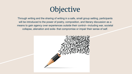

Through writing and the sharing of writing in a safe, small group setting, participants will be introduced to the power of poetry, composition, and literary discussion as a means to gain agency over experiences outside their control—including war, societal collapse, alienation and exile- that compromise or impair their sense of self.

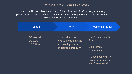### Within Unfold Your Own Myth

Using the film as a launching pad, *Unfold Your Own Myth* will engage young participants in a series of workshops designed to steep them in the transformative power of narrative and storytelling.

| Length                                              | <b>Who</b>                                                                                       | <b>Workshop Model</b>                                      |
|-----------------------------------------------------|--------------------------------------------------------------------------------------------------|------------------------------------------------------------|
| 2-3 Workshop<br><b>sessions</b><br>1.5-2 Hours each | A trained facilitator<br>who will create a safe<br>and inviting space to<br>encourage creativity | Screening of Lamya's<br>Poem<br>Small group<br>discussions |
|                                                     |                                                                                                  | <b>Guided poetry writing</b><br>using Haiku, Imagistic,    |

and Spoken Word.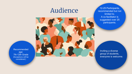## Audience



Recommended age: 7th-12th Grade (Exceptions will be considered.)

12-25 Participants, recommended but not limited to. A co-facilitator is suggested over 25 participants.

Inviting a diverse group of students, everyone is welcome.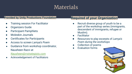### **Materials**

#### **Provided by Unity Productions Foundation**

- **Training session For Facilitator**
- Organizers Guide
- **Participant Pamphlets**
- Moleskin Journals
- **Certificates for Participants**
- Access to screen *Lamya's Poem*
- Guidance from workshop coordinator, Nausheen Razvi at *Nausheen@rrstrategists.com*
- Acknowledgement of Facilitators

### **Required of your Organization**

- Recruit diverse group of youth to be a part of the workshop series (immigrants, descendent of immigrants, refugee or Muslim).
- **Facilitator**
- Resources to play excerpts of *Lamya's Poem during the workshops*
- Collection of poems
- **Evaluation forms**

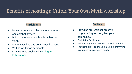### Benefits of hosting a Unfold Your Own Myth workshop

#### **Participants**

- Having a creative outlet can reduce stress and combat anxiety.
- Build connections and bonds with other youth.
- Identity building and confidence boosting
- Writing workshop certificate
- Chance to be published in [Kid Spirit](https://kidspiritonline.com/magazine/) **[Publications](https://kidspiritonline.com/magazine/)**

#### **Facilitators**

- Providing professional, creative programming to strengthen your community.
- Facilitator Certificate
- Acknowledgement in Kid Spirit Publications
- Providing professional, creative programming to strengthen your community.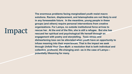# Impact

**The enormous problems facing marginalized youth resist macro solutions. Racism, displacement, and Islamophobia are not likely to end in any foreseeable future. In the meantime, young people in these groups (and others) require personal interventions from creative organizations. For Lamya, no outside institutional force arrives to rescue her. At the end of the film, she is still a refugee. But she has rescued her spiritual and psychological life herself through an engagement with poetry and storytelling. Toxic stress and disheartening loss can be alleviated when youth have an opportunity to infuse meaning into their experiences. That is the impact we seek through** *Unfold Your Own Myth***: a resolution that is both individual and collective, profound, life-changing and—as in the case of Lamya potentially lifesaving for many.**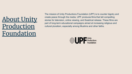## [About Unity](https://www.upf.tv/) [Production](https://www.upf.tv/) [Foundation](https://www.upf.tv/)

The mission of Unity Productions Foundation (UPF) is to counter bigotry and create peace through the media. UPF produces films that tell compelling stories for television, online viewing, and theatrical release. These films are part of long-term educational campaigns aimed at increasing religious and cultural pluralism, especially among Muslims and other faiths.